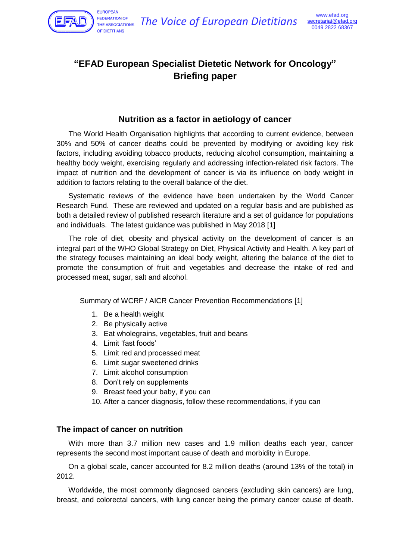

**EUROPEAN FEDERATION OF** OF DIFTITIANS

# **"EFAD European Specialist Dietetic Network for Oncology" Briefing paper**

# **Nutrition as a factor in aetiology of cancer**

The World Health Organisation highlights that according to current evidence, between 30% and 50% of cancer deaths could be prevented by modifying or avoiding key risk factors, including avoiding tobacco products, reducing alcohol consumption, maintaining a healthy body weight, exercising regularly and addressing infection-related risk factors. The impact of nutrition and the development of cancer is via its influence on body weight in addition to factors relating to the overall balance of the diet.

Systematic reviews of the evidence have been undertaken by the World Cancer Research Fund. These are reviewed and updated on a regular basis and are published as both a detailed review of published research literature and a set of guidance for populations and individuals. The latest guidance was published in May 2018 [1]

The role of diet, obesity and physical activity on the development of cancer is an integral part of the WHO Global Strategy on Diet, Physical Activity and Health. A key part of the strategy focuses maintaining an ideal body weight, altering the balance of the diet to promote the consumption of fruit and vegetables and decrease the intake of red and processed meat, sugar, salt and alcohol.

Summary of WCRF / AICR Cancer Prevention Recommendations [1]

- 1. Be a health weight
- 2. Be physically active
- 3. Eat wholegrains, vegetables, fruit and beans
- 4. Limit 'fast foods'
- 5. Limit red and processed meat
- 6. Limit sugar sweetened drinks
- 7. Limit alcohol consumption
- 8. Don't rely on supplements
- 9. Breast feed your baby, if you can
- 10. After a cancer diagnosis, follow these recommendations, if you can

## **The impact of cancer on nutrition**

With more than 3.7 million new cases and 1.9 million deaths each year, cancer represents the second most important cause of death and morbidity in Europe.

On a global scale, cancer accounted for 8.2 million deaths (around 13% of the total) in 2012.

Worldwide, the most commonly diagnosed cancers (excluding skin cancers) are lung, breast, and colorectal cancers, with lung cancer being the primary cancer cause of death.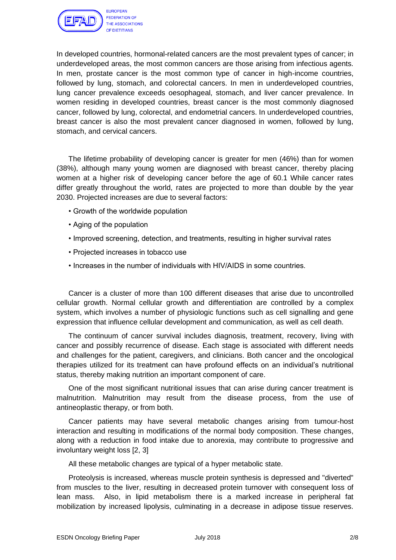

In developed countries, hormonal-related cancers are the most prevalent types of cancer; in underdeveloped areas, the most common cancers are those arising from infectious agents. In men, prostate cancer is the most common type of cancer in high-income countries, followed by lung, stomach, and colorectal cancers. In men in underdeveloped countries, lung cancer prevalence exceeds oesophageal, stomach, and liver cancer prevalence. In women residing in developed countries, breast cancer is the most commonly diagnosed cancer, followed by lung, colorectal, and endometrial cancers. In underdeveloped countries, breast cancer is also the most prevalent cancer diagnosed in women, followed by lung, stomach, and cervical cancers.

The lifetime probability of developing cancer is greater for men (46%) than for women (38%), although many young women are diagnosed with breast cancer, thereby placing women at a higher risk of developing cancer before the age of 60.1 While cancer rates differ greatly throughout the world, rates are projected to more than double by the year 2030. Projected increases are due to several factors:

- Growth of the worldwide population
- Aging of the population
- Improved screening, detection, and treatments, resulting in higher survival rates
- Projected increases in tobacco use
- Increases in the number of individuals with HIV/AIDS in some countries.

Cancer is a cluster of more than 100 different diseases that arise due to uncontrolled cellular growth. Normal cellular growth and differentiation are controlled by a complex system, which involves a number of physiologic functions such as cell signalling and gene expression that influence cellular development and communication, as well as cell death.

The continuum of cancer survival includes diagnosis, treatment, recovery, living with cancer and possibly recurrence of disease. Each stage is associated with different needs and challenges for the patient, caregivers, and clinicians. Both cancer and the oncological therapies utilized for its treatment can have profound effects on an individual's nutritional status, thereby making nutrition an important component of care.

One of the most significant nutritional issues that can arise during cancer treatment is malnutrition. Malnutrition may result from the disease process, from the use of antineoplastic therapy, or from both.

Cancer patients may have several metabolic changes arising from tumour-host interaction and resulting in modifications of the normal body composition. These changes, along with a reduction in food intake due to anorexia, may contribute to progressive and involuntary weight loss [2, 3]

All these metabolic changes are typical of a hyper metabolic state.

Proteolysis is increased, whereas muscle protein synthesis is depressed and "diverted" from muscles to the liver, resulting in decreased protein turnover with consequent loss of lean mass. Also, in lipid metabolism there is a marked increase in peripheral fat mobilization by increased lipolysis, culminating in a decrease in adipose tissue reserves.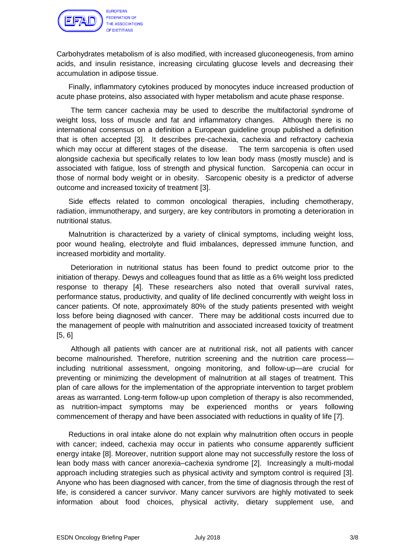

EUROPEAN **FEDERATION OF** THE ASSOCIATIONS OF DIFTITIANS

Carbohydrates metabolism of is also modified, with increased gluconeogenesis, from amino acids, and insulin resistance, increasing circulating glucose levels and decreasing their accumulation in adipose tissue.

Finally, inflammatory cytokines produced by monocytes induce increased production of acute phase proteins, also associated with hyper metabolism and acute phase response.

The term cancer cachexia may be used to describe the multifactorial syndrome of weight loss, loss of muscle and fat and inflammatory changes. Although there is no international consensus on a definition a European guideline group published a definition that is often accepted [3]. It describes pre-cachexia, cachexia and refractory cachexia which may occur at different stages of the disease. The term sarcopenia is often used alongside cachexia but specifically relates to low lean body mass (mostly muscle) and is associated with fatigue, loss of strength and physical function. Sarcopenia can occur in those of normal body weight or in obesity. Sarcopenic obesity is a predictor of adverse outcome and increased toxicity of treatment [3].

Side effects related to common oncological therapies, including chemotherapy, radiation, immunotherapy, and surgery, are key contributors in promoting a deterioration in nutritional status.

Malnutrition is characterized by a variety of clinical symptoms, including weight loss, poor wound healing, electrolyte and fluid imbalances, depressed immune function, and increased morbidity and mortality.

Deterioration in nutritional status has been found to predict outcome prior to the initiation of therapy. Dewys and colleagues found that as little as a 6% weight loss predicted response to therapy [4]. These researchers also noted that overall survival rates, performance status, productivity, and quality of life declined concurrently with weight loss in cancer patients. Of note, approximately 80% of the study patients presented with weight loss before being diagnosed with cancer. There may be additional costs incurred due to the management of people with malnutrition and associated increased toxicity of treatment [5, 6]

Although all patients with cancer are at nutritional risk, not all patients with cancer become malnourished. Therefore, nutrition screening and the nutrition care process including nutritional assessment, ongoing monitoring, and follow-up—are crucial for preventing or minimizing the development of malnutrition at all stages of treatment. This plan of care allows for the implementation of the appropriate intervention to target problem areas as warranted. Long-term follow-up upon completion of therapy is also recommended, as nutrition-impact symptoms may be experienced months or years following commencement of therapy and have been associated with reductions in quality of life [7].

Reductions in oral intake alone do not explain why malnutrition often occurs in people with cancer; indeed, cachexia may occur in patients who consume apparently sufficient energy intake [8]. Moreover, nutrition support alone may not successfully restore the loss of lean body mass with cancer anorexia–cachexia syndrome [2]. Increasingly a multi-modal approach including strategies such as physical activity and symptom control is required [3]. Anyone who has been diagnosed with cancer, from the time of diagnosis through the rest of life, is considered a cancer survivor. Many cancer survivors are highly motivated to seek information about food choices, physical activity, dietary supplement use, and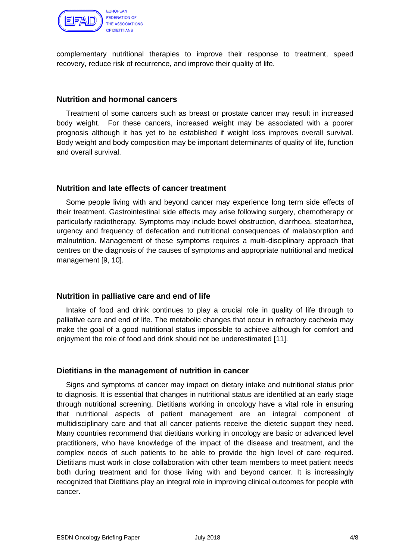

complementary nutritional therapies to improve their response to treatment, speed recovery, reduce risk of recurrence, and improve their quality of life.

#### **Nutrition and hormonal cancers**

Treatment of some cancers such as breast or prostate cancer may result in increased body weight. For these cancers, increased weight may be associated with a poorer prognosis although it has yet to be established if weight loss improves overall survival. Body weight and body composition may be important determinants of quality of life, function and overall survival.

#### **Nutrition and late effects of cancer treatment**

Some people living with and beyond cancer may experience long term side effects of their treatment. Gastrointestinal side effects may arise following surgery, chemotherapy or particularly radiotherapy. Symptoms may include bowel obstruction, diarrhoea, steatorrhea, urgency and frequency of defecation and nutritional consequences of malabsorption and malnutrition. Management of these symptoms requires a multi-disciplinary approach that centres on the diagnosis of the causes of symptoms and appropriate nutritional and medical management [9, 10].

## **Nutrition in palliative care and end of life**

Intake of food and drink continues to play a crucial role in quality of life through to palliative care and end of life. The metabolic changes that occur in refractory cachexia may make the goal of a good nutritional status impossible to achieve although for comfort and enjoyment the role of food and drink should not be underestimated [11].

## **Dietitians in the management of nutrition in cancer**

Signs and symptoms of cancer may impact on dietary intake and nutritional status prior to diagnosis. It is essential that changes in nutritional status are identified at an early stage through nutritional screening. Dietitians working in oncology have a vital role in ensuring that nutritional aspects of patient management are an integral component of multidisciplinary care and that all cancer patients receive the dietetic support they need. Many countries recommend that dietitians working in oncology are basic or advanced level practitioners, who have knowledge of the impact of the disease and treatment, and the complex needs of such patients to be able to provide the high level of care required. Dietitians must work in close collaboration with other team members to meet patient needs both during treatment and for those living with and beyond cancer. It is increasingly recognized that Dietitians play an integral role in improving clinical outcomes for people with cancer.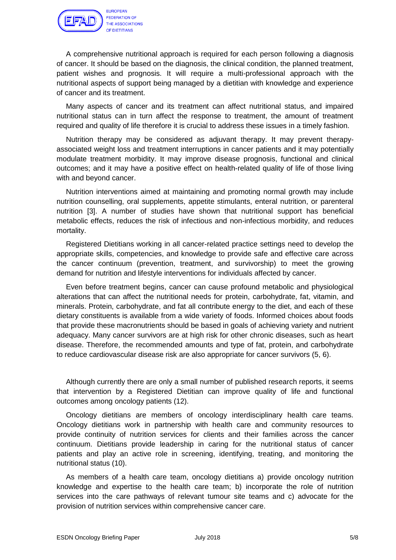

**FEDERATION OF** THE ASSOCIATIONS OF DIFTITIANS

A comprehensive nutritional approach is required for each person following a diagnosis of cancer. It should be based on the diagnosis, the clinical condition, the planned treatment, patient wishes and prognosis. It will require a multi-professional approach with the nutritional aspects of support being managed by a dietitian with knowledge and experience of cancer and its treatment.

Many aspects of cancer and its treatment can affect nutritional status, and impaired nutritional status can in turn affect the response to treatment, the amount of treatment required and quality of life therefore it is crucial to address these issues in a timely fashion.

Nutrition therapy may be considered as adjuvant therapy. It may prevent therapyassociated weight loss and treatment interruptions in cancer patients and it may potentially modulate treatment morbidity. It may improve disease prognosis, functional and clinical outcomes; and it may have a positive effect on health-related quality of life of those living with and beyond cancer.

Nutrition interventions aimed at maintaining and promoting normal growth may include nutrition counselling, oral supplements, appetite stimulants, enteral nutrition, or parenteral nutrition [3]. A number of studies have shown that nutritional support has beneficial metabolic effects, reduces the risk of infectious and non-infectious morbidity, and reduces mortality.

Registered Dietitians working in all cancer-related practice settings need to develop the appropriate skills, competencies, and knowledge to provide safe and effective care across the cancer continuum (prevention, treatment, and survivorship) to meet the growing demand for nutrition and lifestyle interventions for individuals affected by cancer.

Even before treatment begins, cancer can cause profound metabolic and physiological alterations that can affect the nutritional needs for protein, carbohydrate, fat, vitamin, and minerals. Protein, carbohydrate, and fat all contribute energy to the diet, and each of these dietary constituents is available from a wide variety of foods. Informed choices about foods that provide these macronutrients should be based in goals of achieving variety and nutrient adequacy. Many cancer survivors are at high risk for other chronic diseases, such as heart disease. Therefore, the recommended amounts and type of fat, protein, and carbohydrate to reduce cardiovascular disease risk are also appropriate for cancer survivors (5, 6).

Although currently there are only a small number of published research reports, it seems that intervention by a Registered Dietitian can improve quality of life and functional outcomes among oncology patients (12).

Oncology dietitians are members of oncology interdisciplinary health care teams. Oncology dietitians work in partnership with health care and community resources to provide continuity of nutrition services for clients and their families across the cancer continuum. Dietitians provide leadership in caring for the nutritional status of cancer patients and play an active role in screening, identifying, treating, and monitoring the nutritional status (10).

As members of a health care team, oncology dietitians a) provide oncology nutrition knowledge and expertise to the health care team; b) incorporate the role of nutrition services into the care pathways of relevant tumour site teams and c) advocate for the provision of nutrition services within comprehensive cancer care.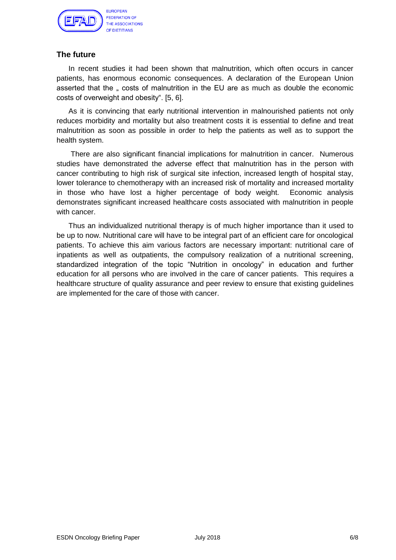

## **The future**

In recent studies it had been shown that malnutrition, which often occurs in cancer patients, has enormous economic consequences. A declaration of the European Union asserted that the  $\sqrt{ }$  costs of malnutrition in the EU are as much as double the economic costs of overweight and obesity". [5, 6].

As it is convincing that early nutritional intervention in malnourished patients not only reduces morbidity and mortality but also treatment costs it is essential to define and treat malnutrition as soon as possible in order to help the patients as well as to support the health system.

There are also significant financial implications for malnutrition in cancer. Numerous studies have demonstrated the adverse effect that malnutrition has in the person with cancer contributing to high risk of surgical site infection, increased length of hospital stay, lower tolerance to chemotherapy with an increased risk of mortality and increased mortality in those who have lost a higher percentage of body weight. Economic analysis demonstrates significant increased healthcare costs associated with malnutrition in people with cancer.

Thus an individualized nutritional therapy is of much higher importance than it used to be up to now. Nutritional care will have to be integral part of an efficient care for oncological patients. To achieve this aim various factors are necessary important: nutritional care of inpatients as well as outpatients, the compulsory realization of a nutritional screening, standardized integration of the topic "Nutrition in oncology" in education and further education for all persons who are involved in the care of cancer patients. This requires a healthcare structure of quality assurance and peer review to ensure that existing guidelines are implemented for the care of those with cancer.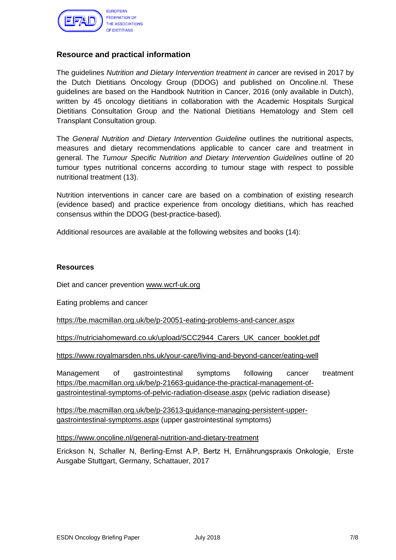

## **Resource and practical information**

The guidelines *Nutrition and Dietary Intervention treatment in cancer* are revised in 2017 by the Dutch Dietitians Oncology Group (DDOG) and published on Oncoline.nl. These guidelines are based on the Handbook Nutrition in Cancer, 2016 (only available in Dutch), written by 45 oncology dietitians in collaboration with the Academic Hospitals Surgical Dietitians Consultation Group and the National Dietitians Hematology and Stem cell Transplant Consultation group.

The *General Nutrition and Dietary Intervention Guideline* outlines the nutritional aspects, measures and dietary recommendations applicable to cancer care and treatment in general. The *Tumour Specific Nutrition and Dietary Intervention Guidelines* outline of 20 tumour types nutritional concerns according to tumour stage with respect to possible nutritional treatment (13).

Nutrition interventions in cancer care are based on a combination of existing research (evidence based) and practice experience from oncology dietitians, which has reached consensus within the DDOG (best-practice-based).

Additional resources are available at the following websites and books (14):

#### **Resources**

Diet and cancer prevention [www.wcrf-uk.org](http://www.wcrf-uk.org/)

Eating problems and cancer

<https://be.macmillan.org.uk/be/p-20051-eating-problems-and-cancer.aspx>

[https://nutriciahomeward.co.uk/upload/SCC2944\\_Carers\\_UK\\_cancer\\_booklet.pdf](https://nutriciahomeward.co.uk/upload/SCC2944_Carers_UK_cancer_booklet.pdf)

<https://www.royalmarsden.nhs.uk/your-care/living-and-beyond-cancer/eating-well>

Management of gastrointestinal symptoms following cancer treatment [https://be.macmillan.org.uk/be/p-21663-guidance-the-practical-management-of](https://be.macmillan.org.uk/be/p-21663-guidance-the-practical-management-of-gastrointestinal-symptoms-of-pelvic-radiation-disease.aspx)[gastrointestinal-symptoms-of-pelvic-radiation-disease.aspx](https://be.macmillan.org.uk/be/p-21663-guidance-the-practical-management-of-gastrointestinal-symptoms-of-pelvic-radiation-disease.aspx) (pelvic radiation disease)

[https://be.macmillan.org.uk/be/p-23613-guidance-managing-persistent-upper](https://be.macmillan.org.uk/be/p-23613-guidance-managing-persistent-upper-gastrointestinal-symptoms.aspx)[gastrointestinal-symptoms.aspx](https://be.macmillan.org.uk/be/p-23613-guidance-managing-persistent-upper-gastrointestinal-symptoms.aspx) (upper gastrointestinal symptoms)

<https://www.oncoline.nl/general-nutrition-and-dietary-treatment>

Erickson N, Schaller N, Berling-Ernst A.P, Bertz H, Ernährungspraxis Onkologie, Erste Ausgabe Stuttgart, Germany, Schattauer, 2017